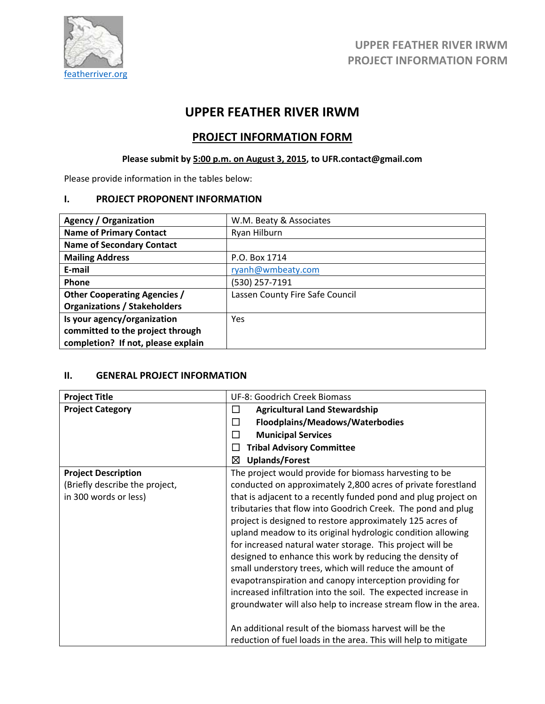

# **UPPER FEATHER RIVER IRWM**

# **PROJECT INFORMATION FORM**

# **Please submit by 5:00 p.m. on August 3, 2015, to UFR.contact@gmail.com**

Please provide information in the tables below:

## **I. PROJECT PROPONENT INFORMATION**

| <b>Agency / Organization</b>        | W.M. Beaty & Associates         |
|-------------------------------------|---------------------------------|
| <b>Name of Primary Contact</b>      | Ryan Hilburn                    |
| <b>Name of Secondary Contact</b>    |                                 |
| <b>Mailing Address</b>              | P.O. Box 1714                   |
| E-mail                              | ryanh@wmbeaty.com               |
| Phone                               | (530) 257-7191                  |
| <b>Other Cooperating Agencies /</b> | Lassen County Fire Safe Council |
| <b>Organizations / Stakeholders</b> |                                 |
| Is your agency/organization         | Yes                             |
| committed to the project through    |                                 |
| completion? If not, please explain  |                                 |

## **II. GENERAL PROJECT INFORMATION**

| <b>Project Title</b>           | UF-8: Goodrich Creek Biomass                                    |  |  |  |
|--------------------------------|-----------------------------------------------------------------|--|--|--|
| <b>Project Category</b>        | <b>Agricultural Land Stewardship</b><br>ப                       |  |  |  |
|                                | Floodplains/Meadows/Waterbodies<br>П                            |  |  |  |
|                                | <b>Municipal Services</b><br>H                                  |  |  |  |
|                                | <b>Tribal Advisory Committee</b>                                |  |  |  |
|                                | <b>Uplands/Forest</b><br>⊠                                      |  |  |  |
| <b>Project Description</b>     | The project would provide for biomass harvesting to be          |  |  |  |
| (Briefly describe the project, | conducted on approximately 2,800 acres of private forestland    |  |  |  |
| in 300 words or less)          | that is adjacent to a recently funded pond and plug project on  |  |  |  |
|                                | tributaries that flow into Goodrich Creek. The pond and plug    |  |  |  |
|                                | project is designed to restore approximately 125 acres of       |  |  |  |
|                                | upland meadow to its original hydrologic condition allowing     |  |  |  |
|                                | for increased natural water storage. This project will be       |  |  |  |
|                                | designed to enhance this work by reducing the density of        |  |  |  |
|                                | small understory trees, which will reduce the amount of         |  |  |  |
|                                | evapotranspiration and canopy interception providing for        |  |  |  |
|                                | increased infiltration into the soil. The expected increase in  |  |  |  |
|                                | groundwater will also help to increase stream flow in the area. |  |  |  |
|                                |                                                                 |  |  |  |
|                                | An additional result of the biomass harvest will be the         |  |  |  |
|                                | reduction of fuel loads in the area. This will help to mitigate |  |  |  |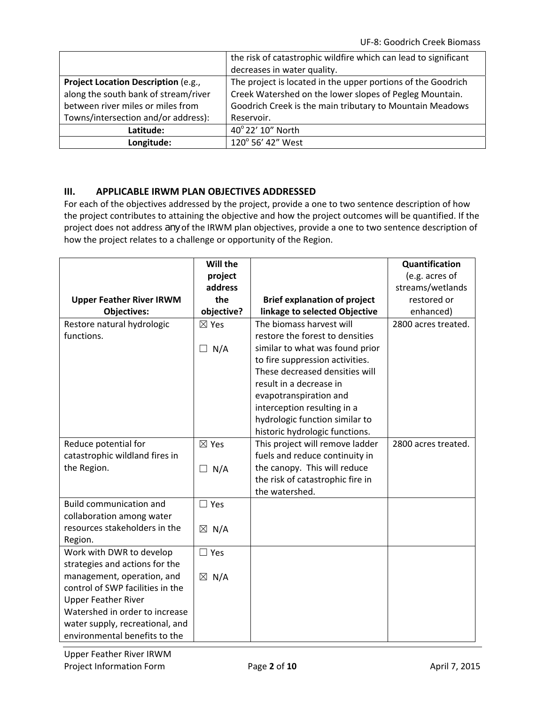|                                      | the risk of catastrophic wildfire which can lead to significant<br>decreases in water quality. |
|--------------------------------------|------------------------------------------------------------------------------------------------|
| Project Location Description (e.g.,  | The project is located in the upper portions of the Goodrich                                   |
| along the south bank of stream/river | Creek Watershed on the lower slopes of Pegleg Mountain.                                        |
| between river miles or miles from    | Goodrich Creek is the main tributary to Mountain Meadows                                       |
| Towns/intersection and/or address):  | Reservoir.                                                                                     |
| Latitude:                            | 40° 22' 10" North                                                                              |
| Longitude:                           | 120° 56' 42" West                                                                              |

## **III. APPLICABLE IRWM PLAN OBJECTIVES ADDRESSED**

For each of the objectives addressed by the project, provide a one to two sentence description of how the project contributes to attaining the objective and how the project outcomes will be quantified. If the project does not address *any* of the IRWM plan objectives, provide a one to two sentence description of how the project relates to a challenge or opportunity of the Region.

|                                  | Will the        |                                     | Quantification      |
|----------------------------------|-----------------|-------------------------------------|---------------------|
|                                  | project         |                                     | (e.g. acres of      |
|                                  | address         |                                     | streams/wetlands    |
| <b>Upper Feather River IRWM</b>  | the             | <b>Brief explanation of project</b> | restored or         |
| <b>Objectives:</b>               | objective?      | linkage to selected Objective       | enhanced)           |
| Restore natural hydrologic       | $\boxtimes$ Yes | The biomass harvest will            | 2800 acres treated. |
| functions.                       |                 | restore the forest to densities     |                     |
|                                  | $\Box$ N/A      | similar to what was found prior     |                     |
|                                  |                 | to fire suppression activities.     |                     |
|                                  |                 | These decreased densities will      |                     |
|                                  |                 | result in a decrease in             |                     |
|                                  |                 | evapotranspiration and              |                     |
|                                  |                 | interception resulting in a         |                     |
|                                  |                 | hydrologic function similar to      |                     |
|                                  |                 | historic hydrologic functions.      |                     |
| Reduce potential for             | $\boxtimes$ Yes | This project will remove ladder     | 2800 acres treated. |
| catastrophic wildland fires in   |                 | fuels and reduce continuity in      |                     |
| the Region.                      | $\Box$ N/A      | the canopy. This will reduce        |                     |
|                                  |                 | the risk of catastrophic fire in    |                     |
|                                  |                 | the watershed.                      |                     |
| <b>Build communication and</b>   | $\Box$ Yes      |                                     |                     |
| collaboration among water        |                 |                                     |                     |
| resources stakeholders in the    | $\boxtimes$ N/A |                                     |                     |
| Region.                          |                 |                                     |                     |
| Work with DWR to develop         | $\Box$ Yes      |                                     |                     |
| strategies and actions for the   |                 |                                     |                     |
| management, operation, and       | $\boxtimes$ N/A |                                     |                     |
| control of SWP facilities in the |                 |                                     |                     |
| <b>Upper Feather River</b>       |                 |                                     |                     |
| Watershed in order to increase   |                 |                                     |                     |
| water supply, recreational, and  |                 |                                     |                     |
| environmental benefits to the    |                 |                                     |                     |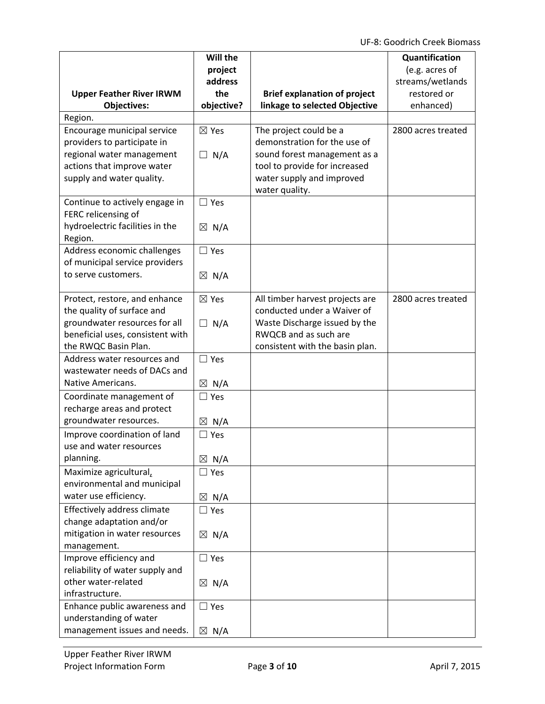UF‐8: Goodrich Creek Biomass

|                                                         | Will the           |                                     | Quantification                     |
|---------------------------------------------------------|--------------------|-------------------------------------|------------------------------------|
|                                                         | project<br>address |                                     | (e.g. acres of<br>streams/wetlands |
| <b>Upper Feather River IRWM</b>                         | the                | <b>Brief explanation of project</b> | restored or                        |
| <b>Objectives:</b>                                      | objective?         | linkage to selected Objective       | enhanced)                          |
| Region.                                                 |                    |                                     |                                    |
| Encourage municipal service                             | $\boxtimes$ Yes    | The project could be a              | 2800 acres treated                 |
| providers to participate in                             |                    | demonstration for the use of        |                                    |
| regional water management                               | N/A<br>$\Box$      | sound forest management as a        |                                    |
| actions that improve water                              |                    | tool to provide for increased       |                                    |
| supply and water quality.                               |                    | water supply and improved           |                                    |
|                                                         |                    | water quality.                      |                                    |
| Continue to actively engage in                          | $\Box$ Yes         |                                     |                                    |
| FERC relicensing of                                     |                    |                                     |                                    |
| hydroelectric facilities in the                         | $\boxtimes$ N/A    |                                     |                                    |
| Region.                                                 |                    |                                     |                                    |
| Address economic challenges                             | $\square$ Yes      |                                     |                                    |
| of municipal service providers                          |                    |                                     |                                    |
| to serve customers.                                     | $\boxtimes$ N/A    |                                     |                                    |
| Protect, restore, and enhance                           | $\boxtimes$ Yes    | All timber harvest projects are     | 2800 acres treated                 |
| the quality of surface and                              |                    | conducted under a Waiver of         |                                    |
| groundwater resources for all                           | N/A<br>$\Box$      | Waste Discharge issued by the       |                                    |
| beneficial uses, consistent with                        |                    | RWQCB and as such are               |                                    |
| the RWQC Basin Plan.                                    |                    | consistent with the basin plan.     |                                    |
| Address water resources and                             | $\Box$ Yes         |                                     |                                    |
| wastewater needs of DACs and                            |                    |                                     |                                    |
| <b>Native Americans.</b>                                | $\boxtimes$ N/A    |                                     |                                    |
| Coordinate management of                                | $\Box$ Yes         |                                     |                                    |
| recharge areas and protect<br>groundwater resources.    |                    |                                     |                                    |
|                                                         | N/A<br>$\boxtimes$ |                                     |                                    |
| Improve coordination of land<br>use and water resources | $\square$ Yes      |                                     |                                    |
| planning.                                               | $\boxtimes$ N/A    |                                     |                                    |
| Maximize agricultural,                                  | $\Box$ Yes         |                                     |                                    |
| environmental and municipal                             |                    |                                     |                                    |
| water use efficiency.                                   | $\boxtimes$ N/A    |                                     |                                    |
| Effectively address climate                             | $\Box$ Yes         |                                     |                                    |
| change adaptation and/or                                |                    |                                     |                                    |
| mitigation in water resources                           | $\boxtimes$ N/A    |                                     |                                    |
| management.                                             |                    |                                     |                                    |
| Improve efficiency and                                  | $\Box$ Yes         |                                     |                                    |
| reliability of water supply and                         |                    |                                     |                                    |
| other water-related                                     | $\boxtimes$ N/A    |                                     |                                    |
| infrastructure.                                         |                    |                                     |                                    |
| Enhance public awareness and                            | $\square$ Yes      |                                     |                                    |
| understanding of water                                  |                    |                                     |                                    |
| management issues and needs.                            | $\boxtimes$ N/A    |                                     |                                    |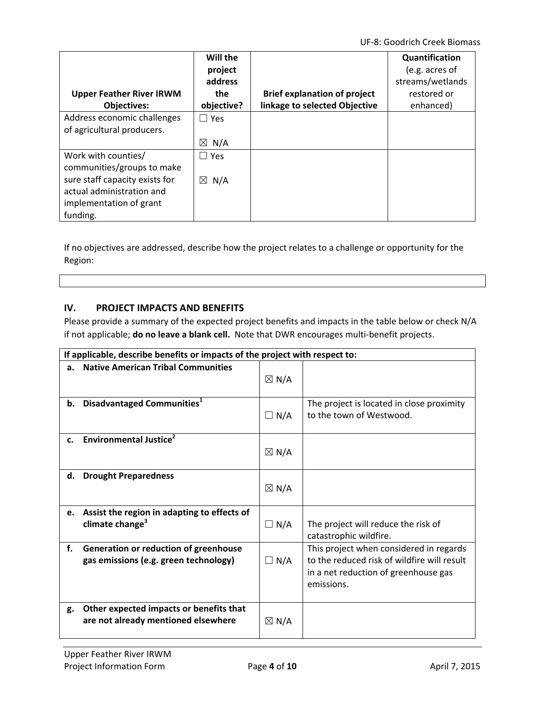UF‐8: Goodrich Creek Biomass

| <b>Upper Feather River IRWM</b><br><b>Objectives:</b>                                                                                                   | Will the<br>project<br>address<br>the<br>objective? | <b>Brief explanation of project</b><br>linkage to selected Objective | Quantification<br>(e.g. acres of<br>streams/wetlands<br>restored or<br>enhanced) |
|---------------------------------------------------------------------------------------------------------------------------------------------------------|-----------------------------------------------------|----------------------------------------------------------------------|----------------------------------------------------------------------------------|
| Address economic challenges<br>of agricultural producers.                                                                                               | $\Box$ Yes<br>$\boxtimes$<br>N/A                    |                                                                      |                                                                                  |
| Work with counties/<br>communities/groups to make<br>sure staff capacity exists for<br>actual administration and<br>implementation of grant<br>funding. | l Yes<br>$\boxtimes$<br>N/A                         |                                                                      |                                                                                  |

If no objectives are addressed, describe how the project relates to a challenge or opportunity for the Region:

## **IV. PROJECT IMPACTS AND BENEFITS**

Please provide a summary of the expected project benefits and impacts in the table below or check N/A if not applicable; **do no leave a blank cell.** Note that DWR encourages multi‐benefit projects.

|    | If applicable, describe benefits or impacts of the project with respect to:    |                 |                                                                                                                                              |
|----|--------------------------------------------------------------------------------|-----------------|----------------------------------------------------------------------------------------------------------------------------------------------|
| a. | <b>Native American Tribal Communities</b>                                      | $\boxtimes$ N/A |                                                                                                                                              |
| b. | Disadvantaged Communities <sup>1</sup>                                         | $\Box$ N/A      | The project is located in close proximity<br>to the town of Westwood.                                                                        |
| c. | Environmental Justice <sup>2</sup>                                             | $\boxtimes$ N/A |                                                                                                                                              |
| d. | <b>Drought Preparedness</b>                                                    | $\boxtimes$ N/A |                                                                                                                                              |
| e. | Assist the region in adapting to effects of<br>climate change <sup>3</sup>     | $\Box$ N/A      | The project will reduce the risk of<br>catastrophic wildfire.                                                                                |
| f. | Generation or reduction of greenhouse<br>gas emissions (e.g. green technology) | $\Box$ N/A      | This project when considered in regards<br>to the reduced risk of wildfire will result<br>in a net reduction of greenhouse gas<br>emissions. |
| g. | Other expected impacts or benefits that<br>are not already mentioned elsewhere | $\boxtimes$ N/A |                                                                                                                                              |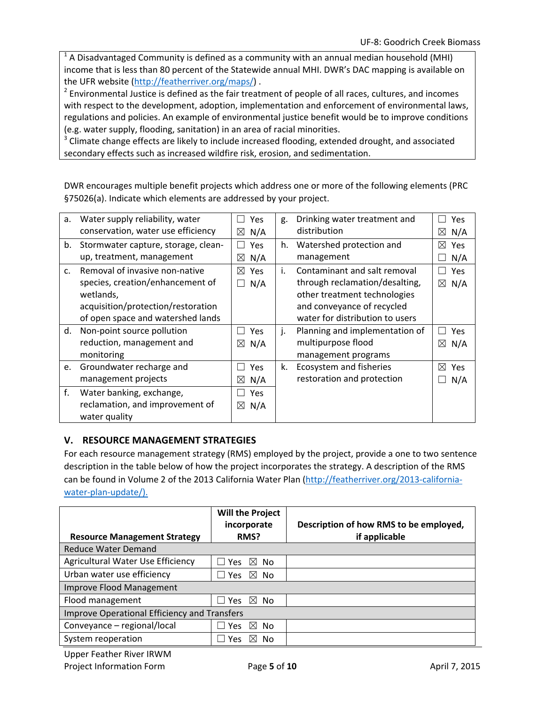$<sup>1</sup>$  A Disadvantaged Community is defined as a community with an annual median household (MHI)</sup> income that is less than 80 percent of the Statewide annual MHI. DWR's DAC mapping is available on the UFR website (http://featherriver.org/maps/) .

 $2$  Environmental Justice is defined as the fair treatment of people of all races, cultures, and incomes with respect to the development, adoption, implementation and enforcement of environmental laws, regulations and policies. An example of environmental justice benefit would be to improve conditions (e.g. water supply, flooding, sanitation) in an area of racial minorities.

<sup>3</sup> Climate change effects are likely to include increased flooding, extended drought, and associated secondary effects such as increased wildfire risk, erosion, and sedimentation.

DWR encourages multiple benefit projects which address one or more of the following elements (PRC §75026(a). Indicate which elements are addressed by your project.

| а.          | Water supply reliability, water     | Yes                | g. | Drinking water treatment and    | Yes                |
|-------------|-------------------------------------|--------------------|----|---------------------------------|--------------------|
|             | conservation, water use efficiency  |                    |    | distribution                    |                    |
|             |                                     | N/A<br>$\boxtimes$ |    |                                 | ⊠<br>N/A           |
| b.          | Stormwater capture, storage, clean- | Yes                | h. | Watershed protection and        | ⊠<br>Yes           |
|             | up, treatment, management           | N/A<br>$\boxtimes$ |    | management                      | N/A                |
| $C_{\star}$ | Removal of invasive non-native      | ⊠<br><b>Yes</b>    | i. | Contaminant and salt removal    | Yes                |
|             | species, creation/enhancement of    | N/A                |    | through reclamation/desalting,  | $\boxtimes$ N/A    |
|             | wetlands,                           |                    |    | other treatment technologies    |                    |
|             | acquisition/protection/restoration  |                    |    | and conveyance of recycled      |                    |
|             | of open space and watershed lands   |                    |    | water for distribution to users |                    |
| d.          | Non-point source pollution          | <b>Yes</b>         | j. | Planning and implementation of  | Yes<br>$\Box$      |
|             | reduction, management and           | N/A<br>$\boxtimes$ |    | multipurpose flood              | N/A<br>$\boxtimes$ |
|             | monitoring                          |                    |    | management programs             |                    |
| e.          | Groundwater recharge and            | Yes                | k. | Ecosystem and fisheries         | ⊠<br>Yes           |
|             | management projects                 | N/A<br>$\boxtimes$ |    | restoration and protection      | N/A                |
| f.          | Water banking, exchange,            | <b>Yes</b>         |    |                                 |                    |
|             | reclamation, and improvement of     | $\boxtimes$ N/A    |    |                                 |                    |
|             | water quality                       |                    |    |                                 |                    |

## **V. RESOURCE MANAGEMENT STRATEGIES**

For each resource management strategy (RMS) employed by the project, provide a one to two sentence description in the table below of how the project incorporates the strategy. A description of the RMS can be found in Volume 2 of the 2013 California Water Plan (http://featherriver.org/2013-californiawater-plan-update/).

|                                                     | <b>Will the Project</b><br>incorporate | Description of how RMS to be employed, |
|-----------------------------------------------------|----------------------------------------|----------------------------------------|
| <b>Resource Management Strategy</b>                 | RMS?                                   | if applicable                          |
| <b>Reduce Water Demand</b>                          |                                        |                                        |
| Agricultural Water Use Efficiency                   | $\boxtimes$ No<br><b>Yes</b>           |                                        |
| Urban water use efficiency                          | $\boxtimes$ No<br><b>Yes</b>           |                                        |
| Improve Flood Management                            |                                        |                                        |
| Flood management                                    | ⊠ No<br>ା Yes                          |                                        |
| <b>Improve Operational Efficiency and Transfers</b> |                                        |                                        |
| Conveyance - regional/local                         | $\bowtie$<br>No<br>Yes.                |                                        |
| System reoperation                                  | ⋈<br>No<br>Yes                         |                                        |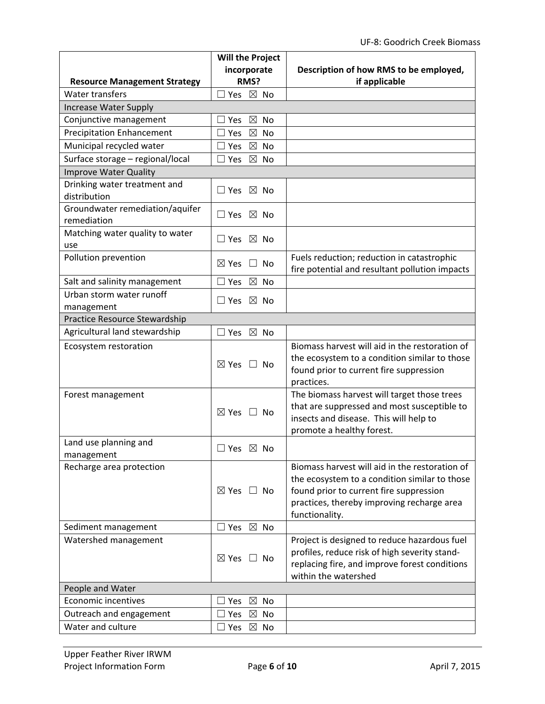|                                     | <b>Will the Project</b>                     |                                                                                               |
|-------------------------------------|---------------------------------------------|-----------------------------------------------------------------------------------------------|
|                                     | incorporate                                 | Description of how RMS to be employed,                                                        |
| <b>Resource Management Strategy</b> | RMS?                                        | if applicable                                                                                 |
| Water transfers                     | $\Box$ Yes $\boxtimes$ No                   |                                                                                               |
| <b>Increase Water Supply</b>        |                                             |                                                                                               |
| Conjunctive management              | $\boxtimes$<br>Yes<br>No                    |                                                                                               |
| <b>Precipitation Enhancement</b>    | $\boxtimes$<br>l Yes<br><b>No</b>           |                                                                                               |
| Municipal recycled water            | $\boxtimes$<br><b>No</b><br>$\sqsupset$ Yes |                                                                                               |
| Surface storage - regional/local    | $\boxtimes$<br>Yes<br>No                    |                                                                                               |
| <b>Improve Water Quality</b>        |                                             |                                                                                               |
| Drinking water treatment and        | $\Box$ Yes $\boxtimes$ No                   |                                                                                               |
| distribution                        |                                             |                                                                                               |
| Groundwater remediation/aquifer     | $\Box$ Yes $\boxtimes$ No                   |                                                                                               |
| remediation                         |                                             |                                                                                               |
| Matching water quality to water     | $\Box$ Yes $\boxtimes$ No                   |                                                                                               |
| use                                 |                                             |                                                                                               |
| Pollution prevention                | $\boxtimes$ Yes $\Box$ No                   | Fuels reduction; reduction in catastrophic<br>fire potential and resultant pollution impacts  |
| Salt and salinity management        | $\boxtimes$ No<br>$\square$ Yes             |                                                                                               |
| Urban storm water runoff            |                                             |                                                                                               |
| management                          | $\Box$ Yes $\boxtimes$ No                   |                                                                                               |
| Practice Resource Stewardship       |                                             |                                                                                               |
| Agricultural land stewardship       | $\boxtimes$ No<br>$\square$ Yes             |                                                                                               |
| Ecosystem restoration               |                                             | Biomass harvest will aid in the restoration of                                                |
|                                     |                                             | the ecosystem to a condition similar to those                                                 |
|                                     | $\boxtimes$ Yes $\Box$ No                   | found prior to current fire suppression                                                       |
|                                     |                                             | practices.                                                                                    |
| Forest management                   |                                             | The biomass harvest will target those trees                                                   |
|                                     |                                             | that are suppressed and most susceptible to                                                   |
|                                     | $\boxtimes$ Yes $\Box$ No                   | insects and disease. This will help to                                                        |
|                                     |                                             | promote a healthy forest.                                                                     |
| Land use planning and               | $\boxtimes$<br>$\Box$ Yes<br>No             |                                                                                               |
| management                          |                                             |                                                                                               |
| Recharge area protection            |                                             | Biomass harvest will aid in the restoration of                                                |
|                                     |                                             | the ecosystem to a condition similar to those                                                 |
|                                     | $\boxtimes$ Yes $\Box$ No                   | found prior to current fire suppression                                                       |
|                                     |                                             | practices, thereby improving recharge area                                                    |
|                                     | □ Yes ⊠ No                                  | functionality.                                                                                |
| Sediment management                 |                                             |                                                                                               |
| Watershed management                |                                             | Project is designed to reduce hazardous fuel<br>profiles, reduce risk of high severity stand- |
|                                     | $\boxtimes$ Yes $\Box$ No                   | replacing fire, and improve forest conditions                                                 |
|                                     |                                             | within the watershed                                                                          |
| People and Water                    |                                             |                                                                                               |
| <b>Economic incentives</b>          | $\boxtimes$ No<br>⊿ Yes                     |                                                                                               |
| Outreach and engagement             | ∃ Yes<br>$\boxtimes$<br>No                  |                                                                                               |
| Water and culture                   | $\boxtimes$ No<br>$\sqsupset$ Yes           |                                                                                               |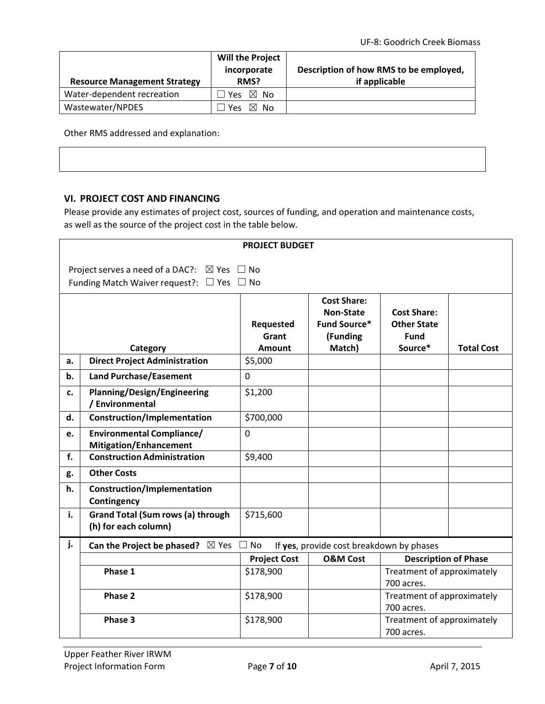| <b>Resource Management Strategy</b> | <b>Will the Project</b><br>incorporate<br>RMS? | Description of how RMS to be employed,<br>if applicable |
|-------------------------------------|------------------------------------------------|---------------------------------------------------------|
| Water-dependent recreation          | ∃Yes ⊠ No                                      |                                                         |
| Wastewater/NPDES                    | ⊠ No<br><b>Yes</b>                             |                                                         |

Other RMS addressed and explanation:

## **VI. PROJECT COST AND FINANCING**

Please provide any estimates of project cost, sources of funding, and operation and maintenance costs, as well as the source of the project cost in the table below.

|    |                                                                                                                                                                                                                            | <b>PROJECT BUDGET</b> |                                          |                                          |  |  |
|----|----------------------------------------------------------------------------------------------------------------------------------------------------------------------------------------------------------------------------|-----------------------|------------------------------------------|------------------------------------------|--|--|
|    | Project serves a need of a DAC?: $\boxtimes$ Yes $\Box$ No<br>Funding Match Waiver request?: $\Box$ Yes $\Box$ No                                                                                                          |                       |                                          |                                          |  |  |
|    | <b>Cost Share:</b><br><b>Non-State</b><br><b>Cost Share:</b><br><b>Fund Source*</b><br>Requested<br><b>Other State</b><br>(Funding<br>Grant<br><b>Fund</b><br>Match)<br>Source*<br>Category<br><b>Total Cost</b><br>Amount |                       |                                          |                                          |  |  |
| a. | <b>Direct Project Administration</b>                                                                                                                                                                                       | \$5,000               |                                          |                                          |  |  |
| b. | <b>Land Purchase/Easement</b>                                                                                                                                                                                              | $\mathbf 0$           |                                          |                                          |  |  |
| c. | <b>Planning/Design/Engineering</b><br>/ Environmental                                                                                                                                                                      | \$1,200               |                                          |                                          |  |  |
| d. | <b>Construction/Implementation</b>                                                                                                                                                                                         | \$700,000             |                                          |                                          |  |  |
| e. | <b>Environmental Compliance/</b><br><b>Mitigation/Enhancement</b>                                                                                                                                                          | $\overline{0}$        |                                          |                                          |  |  |
| f. | <b>Construction Administration</b>                                                                                                                                                                                         | \$9,400               |                                          |                                          |  |  |
| g. | <b>Other Costs</b>                                                                                                                                                                                                         |                       |                                          |                                          |  |  |
| h. | Construction/Implementation<br>Contingency                                                                                                                                                                                 |                       |                                          |                                          |  |  |
| i. | <b>Grand Total (Sum rows (a) through</b><br>(h) for each column)                                                                                                                                                           | \$715,600             |                                          |                                          |  |  |
| j. | $\boxtimes$ Yes<br>Can the Project be phased?                                                                                                                                                                              | <b>No</b>             | If yes, provide cost breakdown by phases |                                          |  |  |
|    |                                                                                                                                                                                                                            | <b>Project Cost</b>   | <b>O&amp;M Cost</b>                      | <b>Description of Phase</b>              |  |  |
|    | Phase 1                                                                                                                                                                                                                    | \$178,900             |                                          | Treatment of approximately<br>700 acres. |  |  |
|    | Phase 2                                                                                                                                                                                                                    | \$178,900             |                                          | Treatment of approximately<br>700 acres. |  |  |
|    | Phase 3                                                                                                                                                                                                                    | \$178,900             |                                          | Treatment of approximately<br>700 acres. |  |  |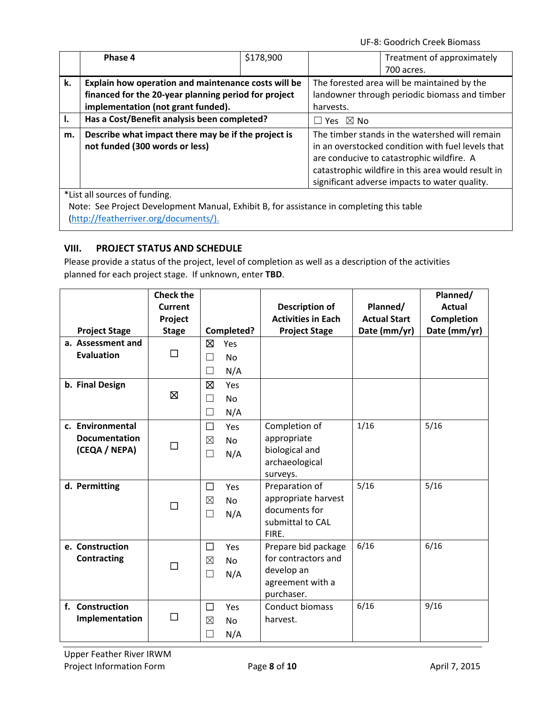UF‐8: Goodrich Creek Biomass

|    | Phase 4                                                                               | \$178,900 |                                               | Treatment of approximately                                                                                                                                                                                                                              |
|----|---------------------------------------------------------------------------------------|-----------|-----------------------------------------------|---------------------------------------------------------------------------------------------------------------------------------------------------------------------------------------------------------------------------------------------------------|
|    |                                                                                       |           |                                               | 700 acres.                                                                                                                                                                                                                                              |
| k. | Explain how operation and maintenance costs will be                                   |           | The forested area will be maintained by the   |                                                                                                                                                                                                                                                         |
|    | financed for the 20-year planning period for project                                  |           | landowner through periodic biomass and timber |                                                                                                                                                                                                                                                         |
|    | implementation (not grant funded).                                                    |           | harvests.                                     |                                                                                                                                                                                                                                                         |
| ı. | Has a Cost/Benefit analysis been completed?                                           |           | $\boxtimes$ No<br>$\Box$ Yes                  |                                                                                                                                                                                                                                                         |
| m. | Describe what impact there may be if the project is<br>not funded (300 words or less) |           |                                               | The timber stands in the watershed will remain<br>in an overstocked condition with fuel levels that<br>are conducive to catastrophic wildfire. A<br>catastrophic wildfire in this area would result in<br>significant adverse impacts to water quality. |
|    | *List all sources of funding.                                                         |           |                                               |                                                                                                                                                                                                                                                         |

Note: See Project Development Manual, Exhibit B, for assistance in completing this table (http://featherriver.org/documents/).

# **VIII. PROJECT STATUS AND SCHEDULE**

Please provide a status of the project, level of completion as well as a description of the activities planned for each project stage. If unknown, enter **TBD**.

|                      | <b>Check the</b> |             |            |                                |                     | Planned/      |
|----------------------|------------------|-------------|------------|--------------------------------|---------------------|---------------|
|                      | Current          |             |            | Description of                 | Planned/            | <b>Actual</b> |
|                      | Project          |             |            | <b>Activities in Each</b>      | <b>Actual Start</b> | Completion    |
| <b>Project Stage</b> | <b>Stage</b>     |             | Completed? | <b>Project Stage</b>           | Date (mm/yr)        | Date (mm/yr)  |
| a. Assessment and    |                  | ⊠           | Yes        |                                |                     |               |
| <b>Evaluation</b>    | □                | ٦           | <b>No</b>  |                                |                     |               |
|                      |                  | □           | N/A        |                                |                     |               |
| b. Final Design      |                  | 囟           | Yes        |                                |                     |               |
|                      | Ø                | $\Box$      | No         |                                |                     |               |
|                      |                  | н           | N/A        |                                |                     |               |
| c. Environmental     |                  | П           | Yes        | Completion of                  | 1/16                | 5/16          |
| <b>Documentation</b> |                  | $\boxtimes$ | <b>No</b>  | appropriate                    |                     |               |
| (CEQA / NEPA)        | □                | $\Box$      | N/A        | biological and                 |                     |               |
|                      |                  |             |            | archaeological                 |                     |               |
|                      |                  |             |            | surveys.                       |                     |               |
| d. Permitting        |                  | □           | Yes        | Preparation of                 | 5/16                | 5/16          |
|                      | □                | ⊠           | <b>No</b>  | appropriate harvest            |                     |               |
|                      |                  | $\Box$      | N/A        | documents for                  |                     |               |
|                      |                  |             |            | submittal to CAL               |                     |               |
|                      |                  |             |            | FIRE.                          |                     |               |
| e. Construction      |                  | □           | Yes        | Prepare bid package            | 6/16                | 6/16          |
| Contracting          | П                | ⊠           | <b>No</b>  | for contractors and            |                     |               |
|                      |                  | $\Box$      | N/A        | develop an                     |                     |               |
|                      |                  |             |            | agreement with a<br>purchaser. |                     |               |
| f. Construction      |                  |             |            | Conduct biomass                | 6/16                | 9/16          |
| Implementation       | □                | □           | Yes        |                                |                     |               |
|                      |                  | $\boxtimes$ | No         | harvest.                       |                     |               |
|                      |                  |             | N/A        |                                |                     |               |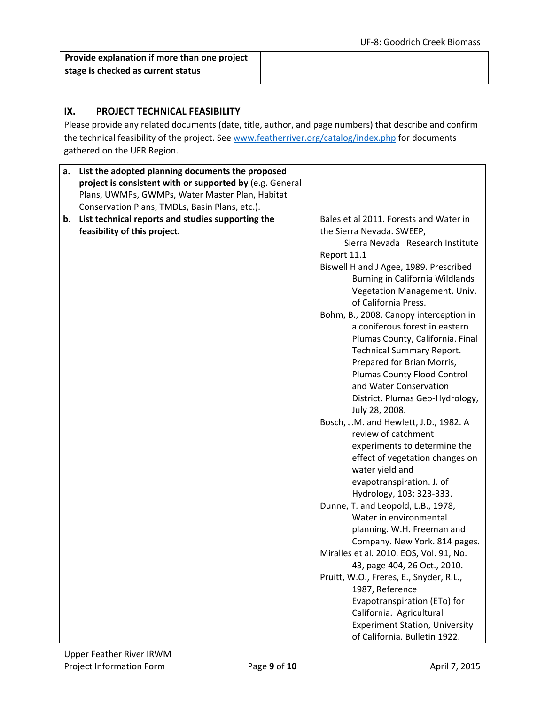**Provide explanation if more than one project stage is checked as current status**

## **IX. PROJECT TECHNICAL FEASIBILITY**

Please provide any related documents (date, title, author, and page numbers) that describe and confirm the technical feasibility of the project. See www.featherriver.org/catalog/index.php for documents gathered on the UFR Region.

| а. | List the adopted planning documents the proposed         |                                         |
|----|----------------------------------------------------------|-----------------------------------------|
|    | project is consistent with or supported by (e.g. General |                                         |
|    | Plans, UWMPs, GWMPs, Water Master Plan, Habitat          |                                         |
|    | Conservation Plans, TMDLs, Basin Plans, etc.).           |                                         |
| b. | List technical reports and studies supporting the        | Bales et al 2011. Forests and Water in  |
|    | feasibility of this project.                             | the Sierra Nevada. SWEEP,               |
|    |                                                          | Sierra Nevada Research Institute        |
|    |                                                          | Report 11.1                             |
|    |                                                          | Biswell H and J Agee, 1989. Prescribed  |
|    |                                                          | Burning in California Wildlands         |
|    |                                                          | Vegetation Management. Univ.            |
|    |                                                          | of California Press.                    |
|    |                                                          | Bohm, B., 2008. Canopy interception in  |
|    |                                                          | a coniferous forest in eastern          |
|    |                                                          | Plumas County, California. Final        |
|    |                                                          | <b>Technical Summary Report.</b>        |
|    |                                                          | Prepared for Brian Morris,              |
|    |                                                          | Plumas County Flood Control             |
|    |                                                          | and Water Conservation                  |
|    |                                                          | District. Plumas Geo-Hydrology,         |
|    |                                                          | July 28, 2008.                          |
|    |                                                          | Bosch, J.M. and Hewlett, J.D., 1982. A  |
|    |                                                          | review of catchment                     |
|    |                                                          | experiments to determine the            |
|    |                                                          | effect of vegetation changes on         |
|    |                                                          | water yield and                         |
|    |                                                          | evapotranspiration. J. of               |
|    |                                                          | Hydrology, 103: 323-333.                |
|    |                                                          | Dunne, T. and Leopold, L.B., 1978,      |
|    |                                                          | Water in environmental                  |
|    |                                                          | planning. W.H. Freeman and              |
|    |                                                          | Company. New York. 814 pages.           |
|    |                                                          | Miralles et al. 2010. EOS, Vol. 91, No. |
|    |                                                          | 43, page 404, 26 Oct., 2010.            |
|    |                                                          | Pruitt, W.O., Freres, E., Snyder, R.L., |
|    |                                                          | 1987, Reference                         |
|    |                                                          | Evapotranspiration (ETo) for            |
|    |                                                          | California. Agricultural                |
|    |                                                          | <b>Experiment Station, University</b>   |
|    |                                                          | of California. Bulletin 1922.           |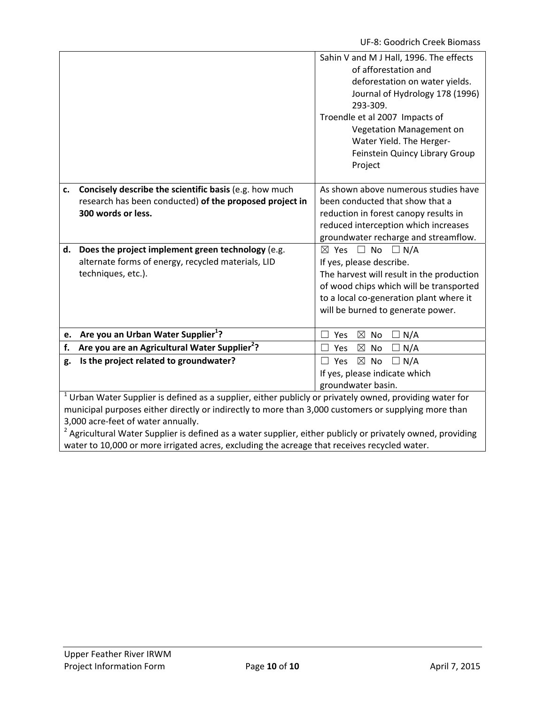|                                    |                                                                                                                        | Sahin V and M J Hall, 1996. The effects<br>of afforestation and<br>deforestation on water yields.<br>Journal of Hydrology 178 (1996)<br>293-309.<br>Troendle et al 2007 Impacts of<br>Vegetation Management on<br>Water Yield. The Herger-<br>Feinstein Quincy Library Group<br>Project |  |  |
|------------------------------------|------------------------------------------------------------------------------------------------------------------------|-----------------------------------------------------------------------------------------------------------------------------------------------------------------------------------------------------------------------------------------------------------------------------------------|--|--|
| c.                                 | Concisely describe the scientific basis (e.g. how much                                                                 | As shown above numerous studies have                                                                                                                                                                                                                                                    |  |  |
|                                    | research has been conducted) of the proposed project in                                                                | been conducted that show that a                                                                                                                                                                                                                                                         |  |  |
|                                    | 300 words or less.                                                                                                     | reduction in forest canopy results in                                                                                                                                                                                                                                                   |  |  |
|                                    |                                                                                                                        | reduced interception which increases                                                                                                                                                                                                                                                    |  |  |
|                                    |                                                                                                                        | groundwater recharge and streamflow.                                                                                                                                                                                                                                                    |  |  |
| d.                                 | Does the project implement green technology (e.g.                                                                      | $\boxtimes$ Yes $\Box$ No $\Box$ N/A                                                                                                                                                                                                                                                    |  |  |
|                                    | alternate forms of energy, recycled materials, LID                                                                     | If yes, please describe.                                                                                                                                                                                                                                                                |  |  |
|                                    | techniques, etc.).                                                                                                     | The harvest will result in the production                                                                                                                                                                                                                                               |  |  |
|                                    |                                                                                                                        | of wood chips which will be transported                                                                                                                                                                                                                                                 |  |  |
|                                    |                                                                                                                        | to a local co-generation plant where it                                                                                                                                                                                                                                                 |  |  |
|                                    |                                                                                                                        | will be burned to generate power.                                                                                                                                                                                                                                                       |  |  |
| e.                                 | Are you an Urban Water Supplier <sup>1</sup> ?                                                                         | $\boxtimes$<br>No<br>$\Box N/A$<br>Yes                                                                                                                                                                                                                                                  |  |  |
| f.                                 | Are you are an Agricultural Water Supplier <sup>2</sup> ?                                                              | $\boxtimes$<br>$\Box N/A$<br>Yes<br>No                                                                                                                                                                                                                                                  |  |  |
| g.                                 | Is the project related to groundwater?                                                                                 | $\boxtimes$ No<br>Yes<br>$\Box N/A$<br>П                                                                                                                                                                                                                                                |  |  |
|                                    |                                                                                                                        | If yes, please indicate which                                                                                                                                                                                                                                                           |  |  |
|                                    |                                                                                                                        | groundwater basin.                                                                                                                                                                                                                                                                      |  |  |
|                                    | $1$ Urban Water Supplier is defined as a supplier, either publicly or privately owned, providing water for             |                                                                                                                                                                                                                                                                                         |  |  |
|                                    | municipal purposes either directly or indirectly to more than 3,000 customers or supplying more than                   |                                                                                                                                                                                                                                                                                         |  |  |
| 3,000 acre-feet of water annually. |                                                                                                                        |                                                                                                                                                                                                                                                                                         |  |  |
|                                    | <sup>2</sup> Agricultural Water Supplier is defined as a water supplier, either publicly or privately owned, providing |                                                                                                                                                                                                                                                                                         |  |  |

water to 10,000 or more irrigated acres, excluding the acreage that receives recycled water.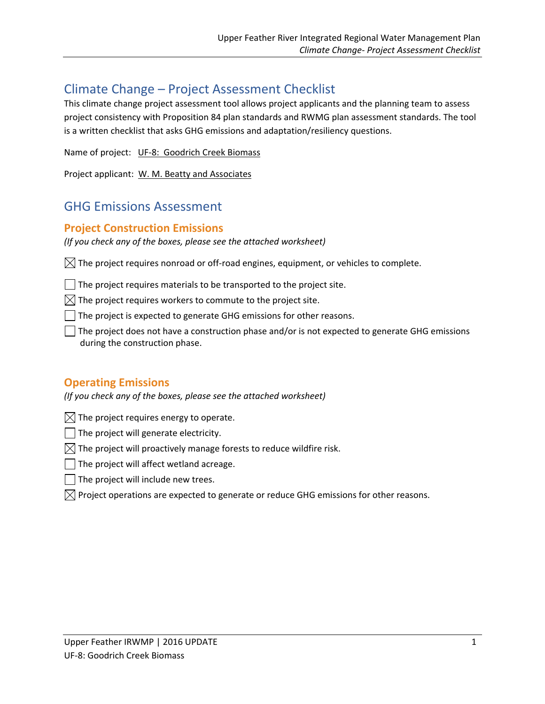# Climate Change – Project Assessment Checklist

This climate change project assessment tool allows project applicants and the planning team to assess project consistency with Proposition 84 plan standards and RWMG plan assessment standards. The tool is a written checklist that asks GHG emissions and adaptation/resiliency questions.

Name of project: UF‐8: Goodrich Creek Biomass

Project applicant: W. M. Beatty and Associates

# GHG Emissions Assessment

# **Project Construction Emissions**

*(If you check any of the boxes, please see the attached worksheet)*

 $\boxtimes$  The project requires nonroad or off-road engines, equipment, or vehicles to complete.

 $\Box$  The project requires materials to be transported to the project site.

 $\boxtimes$  The project requires workers to commute to the project site.

The project is expected to generate GHG emissions for other reasons.

The project does not have a construction phase and/or is not expected to generate GHG emissions during the construction phase.

# **Operating Emissions**

*(If you check any of the boxes, please see the attached worksheet)*

 $\boxtimes$  The project requires energy to operate.

 $\Box$  The project will generate electricity.

- $\boxtimes$  The project will proactively manage forests to reduce wildfire risk.
- $\Box$  The project will affect wetland acreage.
- $\Box$  The project will include new trees.
- $\boxtimes$  Project operations are expected to generate or reduce GHG emissions for other reasons.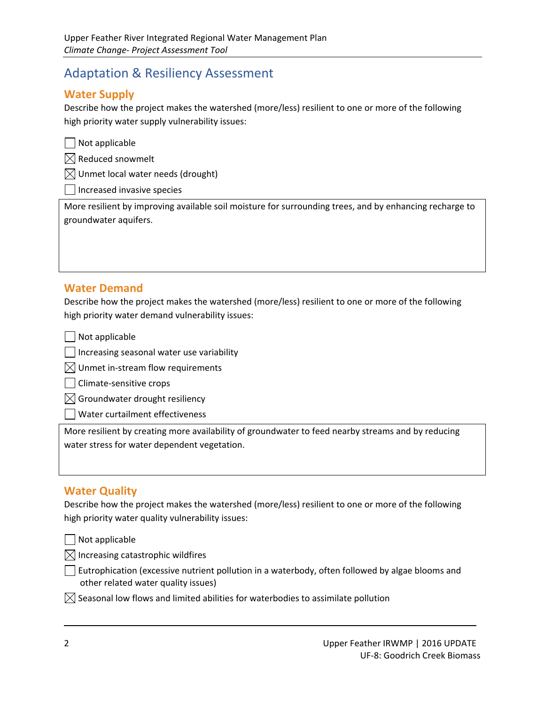# Adaptation & Resiliency Assessment

# **Water Supply**

Describe how the project makes the watershed (more/less) resilient to one or more of the following high priority water supply vulnerability issues:

 $\Box$  Not applicable

 $\boxtimes$  Reduced snowmelt

 $\bowtie$  Unmet local water needs (drought)

Increased invasive species

More resilient by improving available soil moisture for surrounding trees, and by enhancing recharge to groundwater aquifers.

# **Water Demand**

Describe how the project makes the watershed (more/less) resilient to one or more of the following high priority water demand vulnerability issues:

Not applicable

 $\Box$  Increasing seasonal water use variability

 $\boxtimes$  Unmet in-stream flow requirements

□ Climate-sensitive crops

 $\boxtimes$  Groundwater drought resiliency

Water curtailment effectiveness

More resilient by creating more availability of groundwater to feed nearby streams and by reducing water stress for water dependent vegetation.

## **Water Quality**

Describe how the project makes the watershed (more/less) resilient to one or more of the following high priority water quality vulnerability issues:

Not applicable

 $\boxtimes$  Increasing catastrophic wildfires

 $\Box$  Eutrophication (excessive nutrient pollution in a waterbody, often followed by algae blooms and other related water quality issues)

<u> 1989 - Andrea Barbara, amerikana amerikana amerikana amerikana amerikana amerikana amerikana amerikana amerik</u>

 $\boxtimes$  Seasonal low flows and limited abilities for waterbodies to assimilate pollution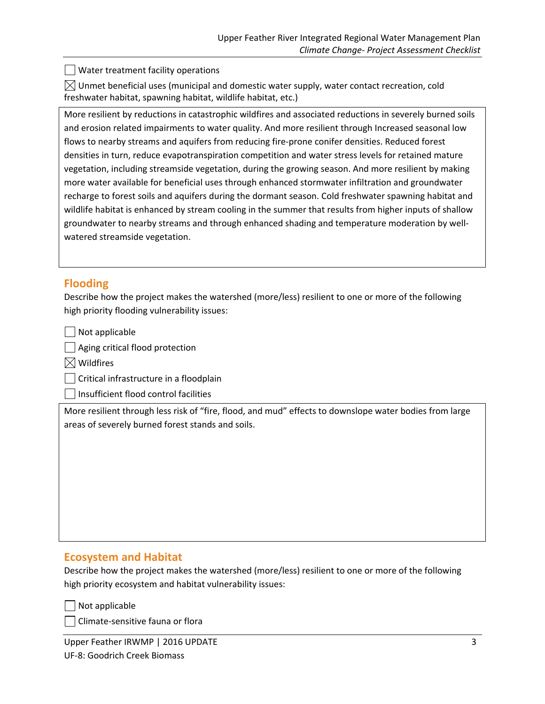Water treatment facility operations

 $\boxtimes$  Unmet beneficial uses (municipal and domestic water supply, water contact recreation, cold freshwater habitat, spawning habitat, wildlife habitat, etc.)

More resilient by reductions in catastrophic wildfires and associated reductions in severely burned soils and erosion related impairments to water quality. And more resilient through Increased seasonal low flows to nearby streams and aquifers from reducing fire‐prone conifer densities. Reduced forest densities in turn, reduce evapotranspiration competition and water stress levels for retained mature vegetation, including streamside vegetation, during the growing season. And more resilient by making more water available for beneficial uses through enhanced stormwater infiltration and groundwater recharge to forest soils and aquifers during the dormant season. Cold freshwater spawning habitat and wildlife habitat is enhanced by stream cooling in the summer that results from higher inputs of shallow groundwater to nearby streams and through enhanced shading and temperature moderation by well‐ watered streamside vegetation.

# **Flooding**

Describe how the project makes the watershed (more/less) resilient to one or more of the following high priority flooding vulnerability issues:

Not applicable

Aging critical flood protection

 $\boxtimes$  Wildfires

Critical infrastructure in a floodplain

Insufficient flood control facilities

More resilient through less risk of "fire, flood, and mud" effects to downslope water bodies from large areas of severely burned forest stands and soils.

## **Ecosystem and Habitat**

Describe how the project makes the watershed (more/less) resilient to one or more of the following high priority ecosystem and habitat vulnerability issues:

Not applicable

Climate‐sensitive fauna or flora

Upper Feather IRWMP | 2016 UPDATE 3 UF‐8: Goodrich Creek Biomass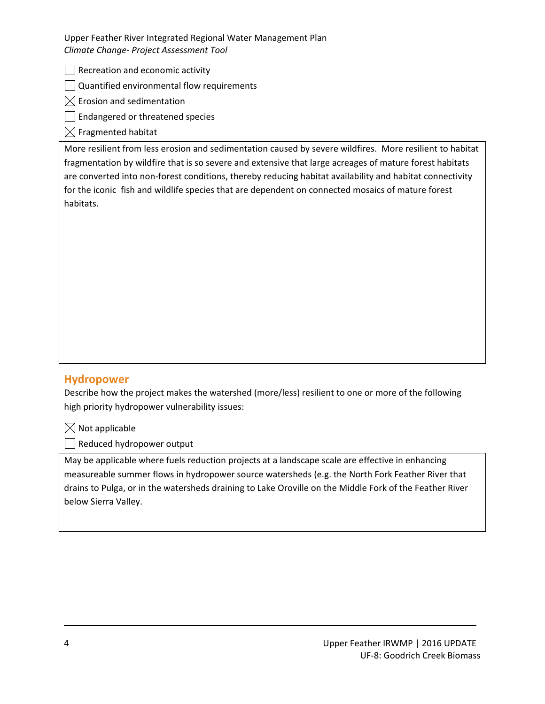## Upper Feather River Integrated Regional Water Management Plan *Climate Change‐ Project Assessment Tool*

 $\vert \ \vert$  Recreation and economic activity

Quantified environmental flow requirements

 $\boxtimes$  Erosion and sedimentation

Endangered or threatened species

 $\boxtimes$  Fragmented habitat

More resilient from less erosion and sedimentation caused by severe wildfires. More resilient to habitat fragmentation by wildfire that is so severe and extensive that large acreages of mature forest habitats are converted into non-forest conditions, thereby reducing habitat availability and habitat connectivity for the iconic fish and wildlife species that are dependent on connected mosaics of mature forest habitats.

# **Hydropower**

Describe how the project makes the watershed (more/less) resilient to one or more of the following high priority hydropower vulnerability issues:

 $\boxtimes$  Not applicable

Reduced hydropower output

May be applicable where fuels reduction projects at a landscape scale are effective in enhancing measureable summer flows in hydropower source watersheds (e.g. the North Fork Feather River that drains to Pulga, or in the watersheds draining to Lake Oroville on the Middle Fork of the Feather River below Sierra Valley.

<u> 1989 - Andrea Barbara, amerikana amerikana amerikana amerikana amerikana amerikana amerikana amerikana amerik</u>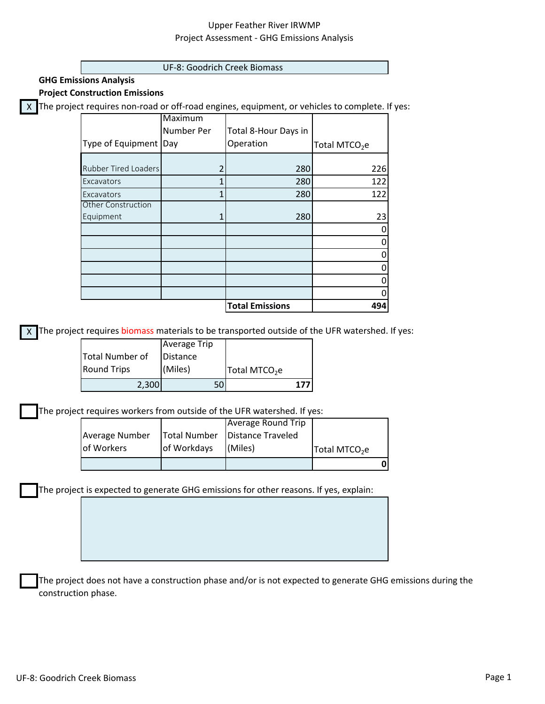## Upper Feather River IRWMP Project Assessment ‐ GHG Emissions Analysis

#### UF‐8: Goodrich Creek Biomass

**GHG Emissions Analysis**

**Project Construction Emissions**

X The project requires non-road or off-road engines, equipment, or vehicles to complete. If yes:

|                             | Maximum    |                        |                           |
|-----------------------------|------------|------------------------|---------------------------|
|                             | Number Per | Total 8-Hour Days in   |                           |
| Type of Equipment           | Day        | Operation              | Total MTCO <sub>2</sub> e |
|                             |            |                        |                           |
| <b>Rubber Tired Loaders</b> |            | 280                    | 226                       |
| Excavators                  |            | 280                    | 122                       |
| Excavators                  |            | 280                    | 122                       |
| <b>Other Construction</b>   |            |                        |                           |
| Equipment                   |            | 280                    | 23                        |
|                             |            |                        |                           |
|                             |            |                        |                           |
|                             |            |                        |                           |
|                             |            |                        |                           |
|                             |            |                        |                           |
|                             |            |                        |                           |
|                             |            | <b>Total Emissions</b> | 494                       |

X The project requires biomass materials to be transported outside of the UFR watershed. If yes:

|                    | <b>Average Trip</b> |                           |
|--------------------|---------------------|---------------------------|
| Total Number of    | Distance            |                           |
| <b>Round Trips</b> | (Miles)             | Total MTCO <sub>2</sub> e |
| 2,300              |                     |                           |

The project requires workers from outside of the UFR watershed. If yes:

| of Workers     | of Workdays | (Miles)                          | Total MTCO <sub>2</sub> e |  |
|----------------|-------------|----------------------------------|---------------------------|--|
| Average Number |             | Total Number   Distance Traveled |                           |  |
|                |             | Average Round Trip               |                           |  |

The project is expected to generate GHG emissions for other reasons. If yes, explain:

The project does not have a construction phase and/or is not expected to generate GHG emissions during the construction phase.